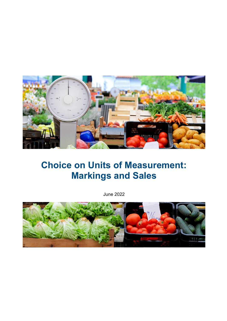

# **Choice on Units of Measurement: Markings and Sales**

June 2022

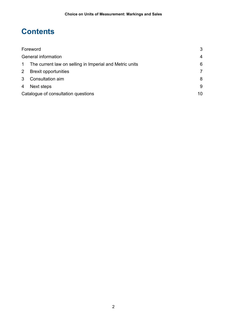## **Contents**

| Foreword                   |                                                         | 3              |
|----------------------------|---------------------------------------------------------|----------------|
| <b>General information</b> |                                                         | 4              |
| $\mathbf{1}$               | The current law on selling in Imperial and Metric units | 6              |
| 2                          | <b>Brexit opportunities</b>                             | $\overline{7}$ |
| 3 <sup>1</sup>             | Consultation aim                                        | 8              |
| 4                          | Next steps                                              | 9              |
|                            | Catalogue of consultation questions                     |                |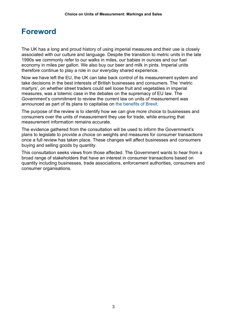### <span id="page-2-0"></span>**Foreword**

 The UK has a long and proud history of using imperial measures and their use is closely economy in miles per gallon. We also buy our beer and milk in pints. Imperial units therefore continue to play a role in our everyday shared experience. associated with our culture and language. Despite the transition to metric units in the late 1990s we commonly refer to our walks in miles, our babies in ounces and our fuel

 measures, was a totemic case in the debates on the supremacy of EU law. The Now we have left the EU, the UK can take back control of its measurement system and take decisions in the best interests of British businesses and consumers. The 'metric martyrs', on whether street traders could sell loose fruit and vegetables in imperial Government's commitment to review the current law on units of measurement was announced as part of its plans to capitalise on [the benefits of Brexit.](https://www.gov.uk/government/publications/the-benefits-of-brexit)

 consumers over the units of measurement they use for trade, while ensuring that measurement information remains accurate. The purpose of the review is to identify how we can give more choice to businesses and

 once a full review has taken place. These changes will affect businesses and consumers The evidence gathered from the consultation will be used to inform the Government's plans to legislate to provide a choice on weights and measures for consumer transactions buying and selling goods by quantity.

consumer organisations. This consultation seeks views from those affected. The Government wants to hear from a broad range of stakeholders that have an interest in consumer transactions based on quantity including businesses, trade associations, enforcement authorities, consumers and consumer organisations. 3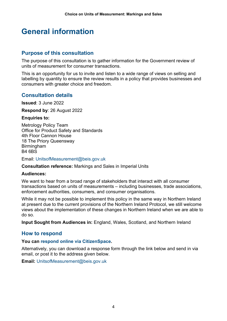## <span id="page-3-0"></span>**General information**

### **Purpose of this consultation**

The purpose of this consultation is to gather information for the Government review of units of measurement for consumer transactions.

This is an opportunity for us to invite and listen to a wide range of views on selling and labelling by quantity to ensure the review results in a policy that provides businesses and consumers with greater choice and freedom.

### **Consultation details**

**Issued**: 3 June 2022

**Respond by**: 26 August 2022

#### **Enquiries to:**

Metrology Policy Team Office for Product Safety and Standards 4th Floor Cannon House 18 The Priory Queensway Birmingham B4 6BS

Email: [UnitsofMeasurement@beis.gov.uk](mailto:UnitsofMeasurement@beis.gov.uk) 

**Consultation reference:** Markings and Sales in Imperial Units

#### **Audiences:**

We want to hear from a broad range of stakeholders that interact with all consumer transactions based on units of measurements – including businesses, trade associations, enforcement authorities, consumers, and consumer organisations.

While it may not be possible to implement this policy in the same way in Northern Ireland at present due to the current provisions of the Northern Ireland Protocol, we still welcome views about the implementation of these changes in Northern Ireland when we are able to do so.

**Input Sought from Audiences in:** England, Wales, Scotland, and Northern Ireland

### **How to respond**

#### **You can [respond online via CitizenSpace.](https://beisgovuk.citizenspace.com/opss/measurements/)**

 email, or post it to the address given below. Alternatively, you can download a response form through the link below and send in via

**Email:** [UnitsofMeasurement@beis.gov.uk](mailto:UnitsofMeasurement@beis.gov.uk)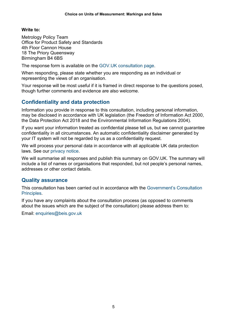#### **Write to:**

 Birmingham B4 6BS Metrology Policy Team Office for Product Safety and Standards 4th Floor Cannon House 18 The Priory Queensway

The response form is available on the [GOV.UK consultation page.](https://www.gov.uk/government/consultations/choice-on-units-of-measurement-markings-and-sales)

When responding, please state whether you are responding as an individual or representing the views of an organisation.

Your response will be most useful if it is framed in direct response to the questions posed, though further comments and evidence are also welcome.

### **Confidentiality and data protection**

Information you provide in response to this consultation, including personal information, may be disclosed in accordance with UK legislation (the Freedom of Information Act 2000, the Data Protection Act 2018 and the Environmental Information Regulations 2004).

If you want your information treated as confidential please tell us, but we cannot guarantee confidentiality in all circumstances. An automatic confidentiality disclaimer generated by your IT system will not be regarded by us as a confidentiality request.

 We will process your personal data in accordance with all applicable UK data protection laws. See our [privacy notice.](https://www.gov.uk/government/publications/safety-and-standards-privacy-notice)

We will summarise all responses and publish this summary on GOV.UK. The summary will include a list of names or organisations that responded, but not people's personal names, addresses or other contact details.

### **Quality assurance**

This consultation has been carried out in accordance with the [Government's Consultation](https://www.gov.uk/government/publications/consultation-principles-guidance)  [Principles.](https://www.gov.uk/government/publications/consultation-principles-guidance)

If you have any complaints about the consultation process (as opposed to comments about the issues which are the subject of the consultation) please address them to:

Email: enquiries@beis.gov.uk Email: [enquiries@beis.gov.uk](mailto:enquiries@beis.gov.uk) 5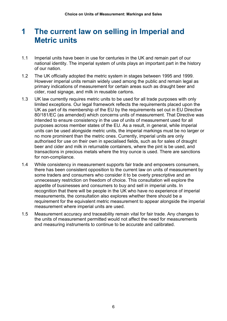### <span id="page-5-0"></span> **1 The current law on selling in Imperial and Metric units**

- 1.1 Imperial units have been in use for centuries in the UK and remain part of our of our nation. national identity. The imperial system of units plays an important part in the history
- 1.2 The UK officially adopted the metric system in stages between 1995 and 1999. However imperial units remain widely used among the public and remain legal as primary indications of measurement for certain areas such as draught beer and cider, road signage, and milk in reusable cartons.
- 1.3 UK law currently requires metric units to be used for all trade purposes with only intended to ensure consistency in the use of units of measurement used for all purposes across member states of the EU. As a result, in general, while imperial transactions in precious metals where the troy ounce is used. There are sanctions for non-compliance. limited exceptions. Our legal framework reflects the requirements placed upon the UK as part of its membership of the EU by the requirements set out in EU Directive 80/181/EC (as amended) which concerns units of measurement. That Directive was units can be used alongside metric units, the imperial markings must be no larger or no more prominent than the metric ones. Currently, imperial units are only authorised for use on their own in specialised fields, such as for sales of draught beer and cider and milk in returnable containers, where the pint is be used, and
- some traders and consumers who consider it to be overly prescriptive and an recognition that there will be people in the UK who have no experience of imperial measurement where imperial units are used. 1.4 While consistency in measurement supports fair trade and empowers consumers, there has been consistent opposition to the current law on units of measurement by unnecessary restriction on freedom of choice. This consultation will explore the appetite of businesses and consumers to buy and sell in imperial units. In measurements, the consultation also explores whether there should be a requirement for the equivalent metric measurement to appear alongside the imperial
- the units of measurement permitted would not affect the need for measurements 1.5 Measurement accuracy and traceability remain vital for fair trade. Any changes to and measuring instruments to continue to be accurate and calibrated.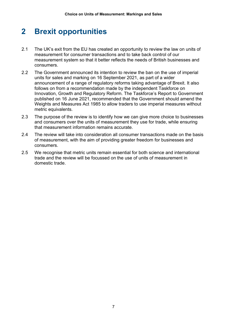#### <span id="page-6-0"></span>**2 Brexit opportunities**

- measurement for consumer transactions and to take back control of our measurement system so that it better reflects the needs of British businesses and consumers. 2.1 The UK's exit from the EU has created an opportunity to review the law on units of
- units for sales and marking on 16 September 2021, as part of a wider announcement of a range of regulatory reforms taking advantage of Brexit. It also 2.2 The Government announced its intention to review the ban on the use of imperial follows on from a recommendation made by the independent Taskforce on Innovation, Growth and Regulatory Reform. The Taskforce's Report to Government published on 16 June 2021, recommended that the Government should amend the Weights and Measures Act 1985 to allow traders to use imperial measures without metric equivalents.
- 2.3 The purpose of the review is to identify how we can give more choice to businesses and consumers over the units of measurement they use for trade, while ensuring that measurement information remains accurate.
- 2.4 The review will take into consideration all consumer transactions made on the basis of measurement, with the aim of providing greater freedom for businesses and consumers.
- 2.5 We recognise that metric units remain essential for both science and international trade and the review will be focussed on the use of units of measurement in domestic trade.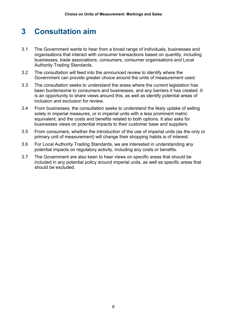## <span id="page-7-0"></span> **3 Consultation aim**

- 3.1 The Government wants to hear from a broad range of individuals, businesses and organisations that interact with consumer transactions based on quantity, including businesses, trade associations, consumers, consumer organisations and Local Authority Trading Standards.
- $3.2$ The consultation will feed into the announced review to identify where the Government can provide greater choice around the units of measurement used.
- 3.3 The consultation seeks to understand the areas where the current legislation has been burdensome to consumers and businesses, and any barriers it has created. It is an opportunity to share views around this, as well as identify potential areas of inclusion and exclusion for review.
- solely in imperial measures, or in imperial units with a less prominent metric equivalent; and the costs and benefits related to both options. It also asks for 3.4 From businesses, the consultation seeks to understand the likely uptake of selling businesses views on potential impacts to their customer base and suppliers.
- 3.5 From consumers, whether the introduction of the use of imperial units (as the only or primary unit of measurement) will change their shopping habits is of interest.
- potential impacts on regulatory activity, including any costs or benefits. 3.6 For Local Authority Trading Standards, we are interested in understanding any
- potential impacts on regulatory activity, including any costs or benefits. 3.7 The Government are also keen to hear views on specific areas that should be included in any potential policy around imperial units, as well as specific areas that should be excluded.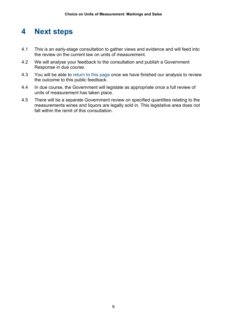## <span id="page-8-0"></span>**4 Next steps**

- 4.1 This is an early-stage consultation to gather views and evidence and will feed into the review on the current law on units of measurement.
- 4.2 We will analyse your feedback to the consultation and publish a Government Response in due course.
- 4.3 You will be able to [return to this page](https://www.gov.uk/government/consultations/choice-on-units-of-measurement-markings-and-sales) once we have finished our analysis to review the outcome to this public feedback.
- 4.4 In due course, the Government will legislate as appropriate once a full review of units of measurement has taken place.
- 4.5 There will be a separate Government review on specified quantities relating to the measurements wines and liquors are legally sold in. This legislative area does not fall within the remit of this consultation.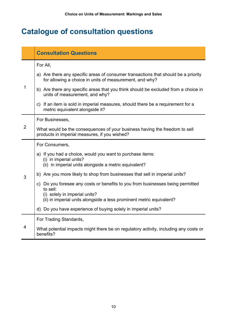## <span id="page-9-0"></span> **Catalogue of consultation questions**

|                | <b>Consultation Questions</b>                                                                                                                 |  |  |
|----------------|-----------------------------------------------------------------------------------------------------------------------------------------------|--|--|
|                | For All,                                                                                                                                      |  |  |
|                | a) Are there any specific areas of consumer transactions that should be a priority<br>for allowing a choice in units of measurement, and why? |  |  |
| 1              | b) Are there any specific areas that you think should be excluded from a choice in<br>units of measurement, and why?                          |  |  |
|                | c) If an item is sold in imperial measures, should there be a requirement for a<br>metric equivalent alongside it?                            |  |  |
|                | For Businesses,                                                                                                                               |  |  |
| $\overline{2}$ | What would be the consequences of your business having the freedom to sell<br>products in imperial measures, if you wished?                   |  |  |
|                | For Consumers,                                                                                                                                |  |  |
|                | a) If you had a choice, would you want to purchase items:<br>(i) in imperial units?<br>(ii) in imperial units alongside a metric equivalent?  |  |  |
| 3              | b) Are you more likely to shop from businesses that sell in imperial units?                                                                   |  |  |
|                | c) Do you foresee any costs or benefits to you from businesses being permitted<br>to sell:<br>(i) solely in imperial units?                   |  |  |
|                | (ii) in imperial units alongside a less prominent metric equivalent?                                                                          |  |  |
|                | d) Do you have experience of buying solely in imperial units?                                                                                 |  |  |
|                | For Trading Standards,                                                                                                                        |  |  |
| 4              | What potential impacts might there be on regulatory activity, including any costs or<br>benefits?                                             |  |  |